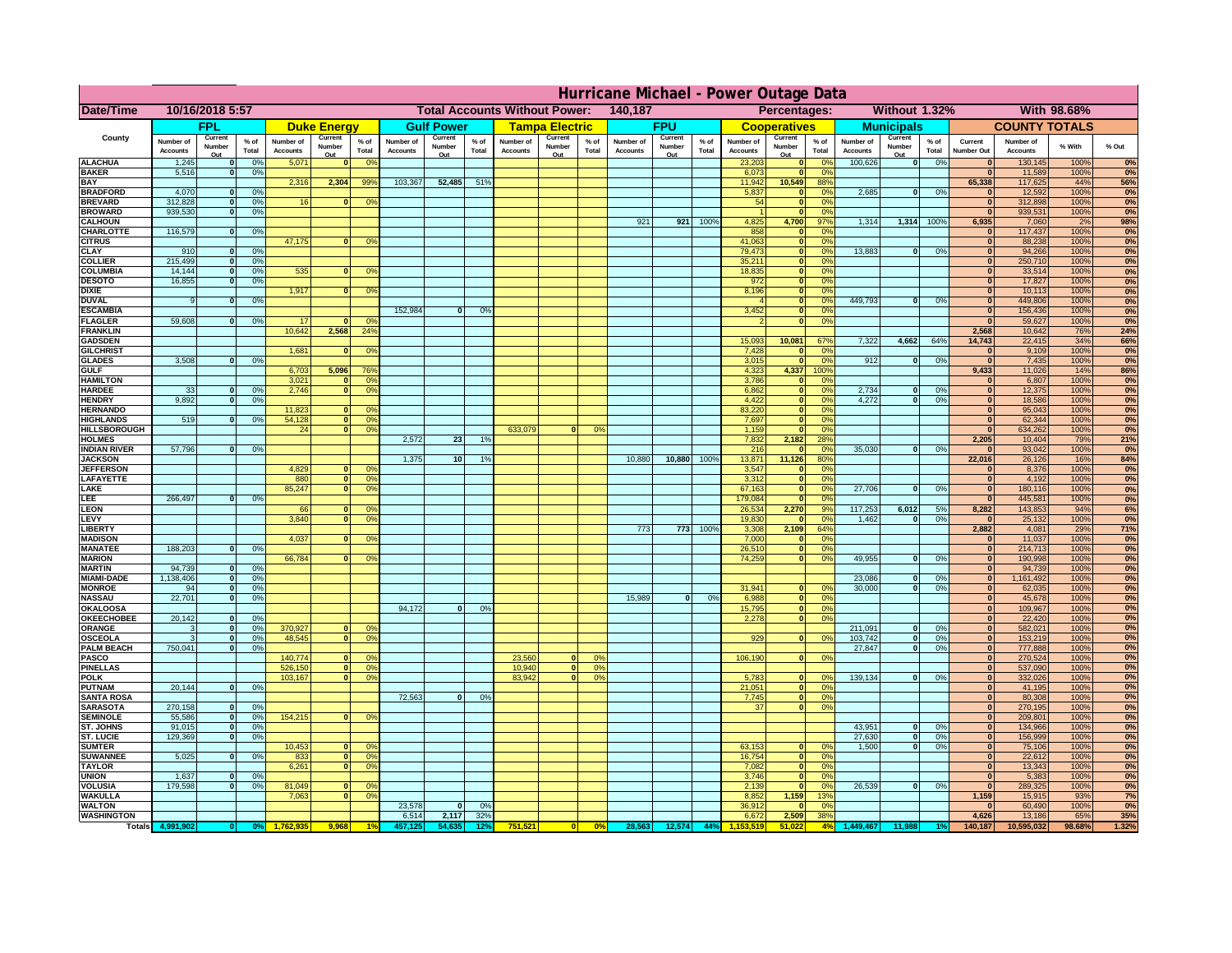|                                         | Hurricane Michael - Power Outage Data |                          |                                  |                              |                       |                                                 |                              |                       |                 |                              |                                                     |                     |                       |                   |                 |                              |                              |                      |                              |                   |                 |                              |                              |                    |              |
|-----------------------------------------|---------------------------------------|--------------------------|----------------------------------|------------------------------|-----------------------|-------------------------------------------------|------------------------------|-----------------------|-----------------|------------------------------|-----------------------------------------------------|---------------------|-----------------------|-------------------|-----------------|------------------------------|------------------------------|----------------------|------------------------------|-------------------|-----------------|------------------------------|------------------------------|--------------------|--------------|
| <b>Date/Time</b>                        | 10/16/2018 5:57                       |                          |                                  |                              |                       | <b>Total Accounts Without Power:</b><br>140,187 |                              |                       |                 |                              | <b>Without 1.32%</b><br>With 98.68%<br>Percentages: |                     |                       |                   |                 |                              |                              |                      |                              |                   |                 |                              |                              |                    |              |
|                                         | <b>FPL</b>                            |                          | <b>Duke Energy</b>               |                              |                       | <b>Gulf Power</b>                               |                              | <b>Tampa Electric</b> |                 | <b>FPU</b>                   |                                                     | <b>Cooperatives</b> |                       | <b>Municipals</b> |                 |                              | <b>COUNTY TOTALS</b>         |                      |                              |                   |                 |                              |                              |                    |              |
| County                                  | Number of<br><b>Accounts</b>          | Current<br>Number        | % of<br>Total                    | Number of<br><b>Accounts</b> | Current<br>Number     | $%$ of<br>Total                                 | Number of<br><b>Accounts</b> | Current<br>Number     | $%$ of<br>Total | Number of<br><b>Accounts</b> | Current<br>Number                                   | $%$ of<br>Total     | Number of<br>Accounts | Current<br>Number | $%$ of<br>Total | Number of<br><b>Accounts</b> | Current<br>Number            | $%$ of<br>Total      | Number of<br><b>Accounts</b> | Current<br>Number | $%$ of<br>Total | Current<br><b>Number Out</b> | Number of<br><b>Accounts</b> | % With             | % Out        |
| <b>ALACHUA</b>                          | 1,245                                 | Out                      | 0 <sup>9</sup>                   | 5,071                        | Out<br>$\bf{0}$       | 0 <sup>9</sup>                                  |                              | Out                   |                 |                              | Out                                                 |                     |                       | Out               |                 | 23,203                       | Out<br>$\mathbf{0}$          | 0 <sup>9</sup>       | 100,626                      | Out<br> 0         | 0%              | $\bf{0}$                     | 130,145                      | 100%               | 0%           |
| <b>BAKER</b>                            | 5,516                                 |                          | 0%                               |                              |                       |                                                 |                              |                       |                 |                              |                                                     |                     |                       |                   |                 | 6,073                        | ō                            | 0%                   |                              |                   |                 | $\mathbf{0}$                 | 11,589                       | 100%               | 0%           |
| <b>BAY</b><br><b>BRADFORD</b>           | 4,070                                 |                          | 0 <sup>9</sup>                   | 2,316                        | 2,304                 | 99%                                             | 103,367                      | 52,485                | 51%             |                              |                                                     |                     |                       |                   |                 | 11,942<br>5,837              | 10,549<br>$\mathbf{0}$       | 88%<br>0%            | 2,685                        | 0                 | 0%              | 65,338<br>$\bf{0}$           | 117,625<br>12,592            | 44%<br>100%        | 56%<br>0%    |
| <b>BREVARD</b>                          | 312,828                               |                          | 0 <sup>9</sup>                   | 16                           | $\mathbf{0}$          | 0%                                              |                              |                       |                 |                              |                                                     |                     |                       |                   |                 | 54                           | $\mathbf{0}$                 | 0%                   |                              |                   |                 | $\mathbf{0}$                 | 312,898                      | 100%               | 0%           |
| <b>BROWARD</b>                          | 939.530                               |                          | 0 <sup>9</sup>                   |                              |                       |                                                 |                              |                       |                 |                              |                                                     |                     |                       |                   |                 |                              | $\mathbf{0}$                 | 0%                   |                              |                   |                 | $\bf{0}$                     | 939,531                      | 100%               | 0%           |
| <b>CALHOUN</b>                          |                                       |                          |                                  |                              |                       |                                                 |                              |                       |                 |                              |                                                     |                     | 921                   | 921               | 100%            | 4,825                        | 4,700                        | 97%                  | 1,314                        | 1,314 100%        |                 | 6,935                        | 7,060                        | 2%                 | 98%          |
| CHARLOTTE<br><b>CITRUS</b>              | 116,579                               |                          | 0%                               | 47,175                       | $\bf{0}$              | 0 <sup>9</sup>                                  |                              |                       |                 |                              |                                                     |                     |                       |                   |                 | 858<br>41,063                | $\mathbf 0$<br>$\mathbf{0}$  | 0%<br>0 <sup>9</sup> |                              |                   |                 | $\bf{0}$<br>$\bf{0}$         | 117,437<br>88,238            | 100%<br>100%       | 0%<br>0%     |
| <b>CLAY</b>                             | 910                                   |                          | 0 <sup>9</sup>                   |                              |                       |                                                 |                              |                       |                 |                              |                                                     |                     |                       |                   |                 | 79,473                       | $\mathbf{0}$                 | 0 <sup>9</sup>       | 13,883                       | $\mathbf{0}$      | 0%              | $\bf{0}$                     | 94,266                       | 100%               | 0%           |
| <b>COLLIER</b>                          | 215,499                               |                          | 0 <sup>9</sup>                   |                              |                       |                                                 |                              |                       |                 |                              |                                                     |                     |                       |                   |                 | 35,211                       | $\mathbf{0}$                 | 0%                   |                              |                   |                 | $\bf{0}$                     | 250,710                      | 100%               | 0%           |
| <b>COLUMBIA</b>                         | 14,144<br>16,855                      |                          | 0 <sup>9</sup>                   | 535                          | $\bf{0}$              | 0 <sup>9</sup>                                  |                              |                       |                 |                              |                                                     |                     |                       |                   |                 | 18,835<br>972                | ō                            | 0%<br>0%             |                              |                   |                 | $\bf{0}$<br>$\bf{0}$         | 33,514                       | 100%               | 0%           |
| <b>DESOTO</b><br><b>DIXIE</b>           |                                       |                          | 0 <sup>9</sup>                   | 1,917                        | $\mathbf{0}$          | 0 <sup>o</sup>                                  |                              |                       |                 |                              |                                                     |                     |                       |                   |                 | 8,196                        | ō<br>$\mathbf{0}$            | nº                   |                              |                   |                 | $\bf{0}$                     | 17,827<br>10,113             | 100%<br>100%       | 0%<br>0%     |
| <b>DUVAL</b>                            |                                       |                          | 0%                               |                              |                       |                                                 |                              |                       |                 |                              |                                                     |                     |                       |                   |                 |                              | $\mathbf{0}$                 | 0%                   | 449.793                      | ol                | 0%              | $\Omega$                     | 449,806                      | 100%               | 0%           |
| <b>ESCAMBIA</b>                         |                                       |                          |                                  |                              |                       |                                                 | 152,984                      | $\mathbf{0}$          | 0 <sup>9</sup>  |                              |                                                     |                     |                       |                   |                 | 3,452                        | $\mathbf{0}$                 | 0%                   |                              |                   |                 | $\mathbf{0}$                 | 156,436                      | 100%               | 0%           |
| <b>FLAGLER</b>                          | 59,608                                |                          | 0%                               | 17<br>10,642                 | $\Omega$<br>2,568     | 0 <sup>9</sup><br>$24^{\circ}$                  |                              |                       |                 |                              |                                                     |                     |                       |                   |                 |                              | $\bullet$                    | 0%                   |                              |                   |                 | $\Omega$<br>2,568            | 59,627<br>10,642             | 100%<br><b>76%</b> | 0%           |
| <b>FRANKLIN</b><br><b>GADSDEN</b>       |                                       |                          |                                  |                              |                       |                                                 |                              |                       |                 |                              |                                                     |                     |                       |                   |                 | 15,093                       | 10,081                       | 67%                  | 7,322                        | 4,662             | 64%             | 14,743                       | 22,415                       | 34%                | 24%<br>66%   |
| <b>GILCHRIST</b>                        |                                       |                          |                                  | 1,681                        | $\Omega$              | 0 <sup>9</sup>                                  |                              |                       |                 |                              |                                                     |                     |                       |                   |                 | 7,428                        | $\mathbf{0}$                 | 0%                   |                              |                   |                 | $\overline{\mathbf{0}}$      | 9,109                        | 100%               | 0%           |
| <b>GLADES</b>                           | 3,508                                 |                          | 0 <sup>9</sup>                   |                              |                       |                                                 |                              |                       |                 |                              |                                                     |                     |                       |                   |                 | 3,015                        | $\bullet$                    | 0%                   | 912                          | $\mathbf{0}$      | 0%              | 0                            | 7,435                        | 100%               | 0%           |
| <b>GULF</b><br><b>HAMILTON</b>          |                                       |                          |                                  | 6,703<br>3,021               | 5,096<br>$\mathbf{a}$ | 76%<br>0 <sup>9</sup>                           |                              |                       |                 |                              |                                                     |                     |                       |                   |                 | 4,323<br>3,786               | 4,337                        | 100%<br>0%           |                              |                   |                 | 9,433<br>$\bf{0}$            | 11,026<br>6,807              | 14%<br>100%        | 86%          |
| <b>HARDEE</b>                           | 33                                    |                          | 0%                               | 2.746                        |                       | n l<br>0 <sup>9</sup>                           |                              |                       |                 |                              |                                                     |                     |                       |                   |                 | 6.862                        | $\mathbf{0}$<br> 0           | 0%                   | 2.734                        | $\mathbf{0}$      | 0%              | 0                            | 12,375                       | 100%               | 0%<br>0%     |
| <b>HENDRY</b>                           | 9.892                                 |                          | 0%                               |                              |                       |                                                 |                              |                       |                 |                              |                                                     |                     |                       |                   |                 | 4.422                        | 0                            | 0%                   | 4.272                        | $\mathbf{0}$      | 0%              | 0                            | 18.586                       | 100%               | 0%           |
| <b>HERNANDO</b>                         |                                       |                          |                                  | 11,823                       | <sup>o</sup>          | $\Omega$                                        |                              |                       |                 |                              |                                                     |                     |                       |                   |                 | 83,220                       | 0                            | 0%                   |                              |                   |                 | 0                            | 95,043                       | 100%               | 0%           |
| <b>HIGHLANDS</b><br><b>HILLSBOROUGH</b> | 519                                   |                          | 0 <sup>9</sup>                   | 54,128<br>24                 |                       | $\overline{0}$<br>0%<br>$\overline{0}$<br>0%    |                              |                       |                 | 633,079                      |                                                     | 0 <sup>9</sup>      |                       |                   |                 | 7,697<br>1,159               | ō<br>$\mathbf{0}$            | 0%<br>0%             |                              |                   |                 | 0 <br> 0                     | 62,344<br>634,262            | 100%<br>100%       | 0%<br>0%     |
| <b>HOLMES</b>                           |                                       |                          |                                  |                              |                       |                                                 | 2,572                        | 23                    | 1%              |                              |                                                     |                     |                       |                   |                 | 7,832                        | 2,182                        | 28%                  |                              |                   |                 | 2,205                        | 10,404                       | 79%                | 21%          |
| <b>INDIAN RIVER</b>                     | 57,796                                |                          | 0%                               |                              |                       |                                                 |                              |                       |                 |                              |                                                     |                     |                       |                   |                 | 216                          | $\mathbf{0}$                 | 0 <sup>9</sup>       | 35,030                       | $\mathbf{0}$      | 0%              | $\bf{0}$                     | 93,042                       | 100%               | 0%           |
| <b>JACKSON</b>                          |                                       |                          |                                  |                              |                       |                                                 | 1,375                        | 10 <sup>1</sup>       | 19              |                              |                                                     |                     | 10,880                | 10,880            | 100%            | 13,871                       | 11,126                       | 80%                  |                              |                   |                 | 22,016                       | 26,126                       | 16%                | 84%          |
| <b>JEFFERSON</b><br>LAFAYETTE           |                                       |                          |                                  | 4,829<br>880                 |                       | οl<br>0 <sup>9</sup><br>$\overline{0}$<br>0%    |                              |                       |                 |                              |                                                     |                     |                       |                   |                 | 3,547<br>3,312               | $\mathbf{0}$<br>$\mathbf{0}$ | 0%<br>0%             |                              |                   |                 | $\mathbf{0}$<br> 0           | 8,376<br>4,192               | 100%<br>100%       | 0%<br>0%     |
| LAKE                                    |                                       |                          |                                  | 85,247                       |                       | $\overline{0}$<br>0%                            |                              |                       |                 |                              |                                                     |                     |                       |                   |                 | 67,163                       | $\mathbf 0$                  | 0%                   | 27,706                       | $\Omega$          | 0%              | 0                            | 180,116                      | 100%               | 0%           |
| LEE                                     | 266,497                               |                          | 0%                               |                              |                       |                                                 |                              |                       |                 |                              |                                                     |                     |                       |                   |                 | 179,084                      | $\mathbf{0}$                 | 0%                   |                              |                   |                 | 0                            | 445,581                      | 100%               | 0%           |
| <b>LEON</b>                             |                                       |                          |                                  | 66                           |                       | $\Omega$<br>O <sup>9</sup>                      |                              |                       |                 |                              |                                                     |                     |                       |                   |                 | 26,534                       | 2,270                        | 9%                   | 117,253                      | 6,012             | 5%              | 8,282                        | 143,853                      | 94%                | 6%           |
| LEVY<br>LIBERTY                         |                                       |                          |                                  | 3,840                        |                       | 0 <sup>9</sup><br>$\Omega$                      |                              |                       |                 |                              |                                                     |                     | 773                   | 773               | 100%            | 19,830<br>3,308              | $\mathbf{0}$<br>2,109        | 0%<br>64%            | 1,462                        | $\mathbf{0}$      | 0%              | $\Omega$<br>2,882            | 25,132<br>4,081              | 100%<br>29%        | 0%<br>71%    |
| <b>MADISON</b>                          |                                       |                          |                                  | 4,037                        | <sup>o</sup>          | 0 <sup>9</sup>                                  |                              |                       |                 |                              |                                                     |                     |                       |                   |                 | 7,000                        | $\mathbf{0}$                 | 0%                   |                              |                   |                 | $\Omega$                     | 11,037                       | 100%               | 0%           |
| <b>MANATEE</b>                          | 188,203                               | $\Omega$                 | 0%                               |                              |                       |                                                 |                              |                       |                 |                              |                                                     |                     |                       |                   |                 | 26,510                       | 0                            | 0%                   |                              |                   |                 | 0                            | 214,713                      | 100%               | 0%           |
| <b>MARION</b>                           |                                       |                          |                                  | 66,784                       |                       | 0°                                              |                              |                       |                 |                              |                                                     |                     |                       |                   |                 | 74,259                       | 0                            | 0%                   | 49,955                       | $\Omega$          | 0%              | 0                            | 190,998                      | 100%               | 0%           |
| <b>MARTIN</b><br><b>MIAMI-DADE</b>      | 94,739<br>1,138,406                   | $\Omega$<br>$\mathbf{o}$ | 0 <sup>9</sup><br>0 <sup>9</sup> |                              |                       |                                                 |                              |                       |                 |                              |                                                     |                     |                       |                   |                 |                              |                              |                      | 23,086                       | $\mathbf 0$       | 0%              | 0 <br> 0                     | 94,739<br>1,161,492          | 100%<br>100%       | 0%<br>0%     |
| <b>MONROE</b>                           | 94                                    | 0                        | 0%                               |                              |                       |                                                 |                              |                       |                 |                              |                                                     |                     |                       |                   |                 | 31,941                       | $\mathbf{0}$                 | 0 <sup>9</sup>       | 30,000                       | $\mathbf{0}$      | 0%              | 0                            | 62,035                       | 100%               | 0%           |
| <b>NASSAU</b>                           | 22,701                                | $\Omega$                 | 0%                               |                              |                       |                                                 |                              |                       |                 |                              |                                                     |                     | 15,989                | 0                 | 0%              | 6,988                        |                              | 0 <br>0%             |                              |                   |                 | 0                            | 45,678                       | 100%               | 0%           |
| OKALOOSA                                |                                       |                          |                                  |                              |                       |                                                 | 94,172                       | $\bf{0}$              | 0%              |                              |                                                     |                     |                       |                   |                 | 15,795                       | 0                            | 0%                   |                              |                   |                 | 0                            | 109,967                      | 100%               | 0%           |
| <b>OKEECHOBEE</b><br>ORANGE             | 20,142                                | $\Omega$                 | 0 <sup>9</sup><br>0 <sup>9</sup> | 370,927                      |                       | $\Omega$<br>0 <sup>6</sup>                      |                              |                       |                 |                              |                                                     |                     |                       |                   |                 | 2,278                        |                              | 0%<br> 0             | 211,091                      | $\mathbf{0}$      | 0%              | 0 <br> 0                     | 22,420<br>582,021            | 100%<br>100%       | 0%<br>0%     |
| <b>OSCEOLA</b>                          |                                       | $\Omega$                 | 0 <sup>9</sup>                   | 48,545                       |                       | $\overline{0}$<br>$\Omega$                      |                              |                       |                 |                              |                                                     |                     |                       |                   |                 | 929                          |                              | 0 <br>0 <sup>9</sup> | 103,742                      | 0                 | 0%              | 0                            | 153,219                      | 100%               | 0%           |
| <b>PALM BEACH</b>                       | 750,041                               | $\Omega$                 | 0 <sup>9</sup>                   |                              |                       |                                                 |                              |                       |                 |                              |                                                     |                     |                       |                   |                 |                              |                              |                      | 27,847                       | $\overline{0}$    | 0%              | 0                            | 777,888                      | 100%               | 0%           |
| PASCO                                   |                                       |                          |                                  | 140,774                      |                       | $\Omega$<br>$^{\circ}$                          |                              |                       |                 | 23,560                       | $\Omega$                                            | 0%                  |                       |                   |                 | 106,190                      |                              | 0 <br>0%             |                              |                   |                 | 0                            | 270,524                      | 100%               | 0%           |
| <b>PINELLAS</b><br><b>POLK</b>          |                                       |                          |                                  | 526,150<br>103,167           |                       | 0 <sup>9</sup><br> 0 <br>0 <sup>9</sup><br> 0   |                              |                       |                 | 10,940<br>83,942             | $\overline{\mathbf{0}}$<br> 0                       | 0%<br>0%            |                       |                   |                 | 5,783                        | 0                            | nº                   | 139,134                      | 0                 | 0%              | $\mathbf{0}$<br> 0           | 537,090<br>332,026           | 100%<br>100%       | 0%<br>0%     |
| <b>PUTNAM</b>                           | 20,144                                | $\mathbf{0}$             | 0%                               |                              |                       |                                                 |                              |                       |                 |                              |                                                     |                     |                       |                   |                 | 21,051                       | 0                            | 0%                   |                              |                   |                 | $\bf{0}$                     | 41,195                       | 100%               | 0%           |
| <b>SANTA ROSA</b>                       |                                       |                          |                                  |                              |                       |                                                 | 72,563                       | 0                     | 0%              |                              |                                                     |                     |                       |                   |                 | 7,745                        |                              | 0 <br>0%             |                              |                   |                 | $\mathbf{0}$                 | 80,308                       | 100%               | 0%           |
| <b>SARASOTA</b>                         | 270,158                               | $\Omega$                 | 0%                               |                              |                       |                                                 |                              |                       |                 |                              |                                                     |                     |                       |                   |                 | 37                           |                              | 0 <br>0%             |                              |                   |                 | $\mathbf{0}$                 | 270,195                      | 100%               | 0%           |
| <b>SEMINOLE</b><br><b>ST. JOHNS</b>     | 55,586<br>91.015                      | $\mathbf{0}$<br>$\Omega$ | 0 <sup>9</sup><br>0 <sup>9</sup> | 154,215                      |                       | $\mathbf{0}$<br>0 <sup>9</sup>                  |                              |                       |                 |                              |                                                     |                     |                       |                   |                 |                              |                              |                      | 43,951                       | -ol               | 0%              | $\mathbf{0}$<br> 0           | 209,801<br>134,966           | 100%<br>100%       | 0%<br>0%     |
| <b>ST. LUCIE</b>                        | 129.369                               | $\Omega$                 | 0%                               |                              |                       |                                                 |                              |                       |                 |                              |                                                     |                     |                       |                   |                 |                              |                              |                      | 27.630                       | - O I             | 0%              | 0                            | 156.999                      | 100%               | 0%           |
| <b>SUMTER</b>                           |                                       |                          |                                  | 10,453                       |                       | $\mathbf{0}$<br>$\Omega$                        |                              |                       |                 |                              |                                                     |                     |                       |                   |                 | 63,153                       | $\mathbf{0}$                 | 0%                   | 1.500                        | 0                 | 0%              | $\overline{0}$               | 75,106                       | 100%               | 0%           |
| <b>SUWANNEE</b>                         | 5,025                                 | $\Omega$                 | 0%                               | 833                          |                       | 0 <sup>9</sup><br> 0                            |                              |                       |                 |                              |                                                     |                     |                       |                   |                 | 16,754                       | 0                            | 0%                   |                              |                   |                 | $\mathbf{0}$                 | 22,612                       | 100%               | 0%           |
| <b>TAYLOR</b><br><b>UNION</b>           | 1,637                                 |                          | 0 <sup>9</sup>                   | 6,261                        |                       | 0 <br>0 <sup>9</sup>                            |                              |                       |                 |                              |                                                     |                     |                       |                   |                 | 7,082<br>3,746               | 0 <br>$\mathbf 0$            | 0%<br>0%             |                              |                   |                 | $\bf{0}$<br>$\bf{0}$         | 13,343<br>5,383              | 100%<br>100%       | 0%<br>0%     |
| VOLUSIA                                 | 179,598                               |                          | 0 <sup>9</sup>                   | 81,049                       |                       | $\mathbf{0}$<br>0 <sup>6</sup>                  |                              |                       |                 |                              |                                                     |                     |                       |                   |                 | 2,139                        | $\mathbf{0}$                 | 0%                   | 26,539                       | 0                 | 0%              | 0                            | 289,325                      | 100%               | 0%           |
| <b>WAKULLA</b>                          |                                       |                          |                                  | 7,063                        |                       | 0 <sup>9</sup><br>$\mathbf{0}$                  |                              |                       |                 |                              |                                                     |                     |                       |                   |                 | 8,852                        | 1,159                        | 13%                  |                              |                   |                 | 1,159                        | 15,915                       | 93%                | 7%           |
| <b>WALTON</b>                           |                                       |                          |                                  |                              |                       |                                                 | 23,578                       | $\mathbf{0}$          | 0%              |                              |                                                     |                     |                       |                   |                 | 36,912                       | $\mathbf 0$                  | 0%                   |                              |                   |                 |                              | 60,490                       | 100%               | 0%           |
| <b>WASHINGTON</b><br>Totals 4,9         |                                       |                          |                                  |                              |                       |                                                 | 6,514                        | 2,117<br>54.63        | 32%             | 751,521                      |                                                     | 0%                  | 28,563                | 12,574            | 44%             | 6,672                        | 2,509<br>51.02               | 38%<br>4%            | ,449,467                     |                   |                 | 4,626<br>140,187             | 13,186<br>10,595,032         | 65%<br>98.68%      | 35%<br>1.32% |
|                                         |                                       |                          |                                  |                              |                       |                                                 |                              |                       |                 |                              |                                                     |                     |                       |                   |                 |                              |                              |                      |                              |                   |                 |                              |                              |                    |              |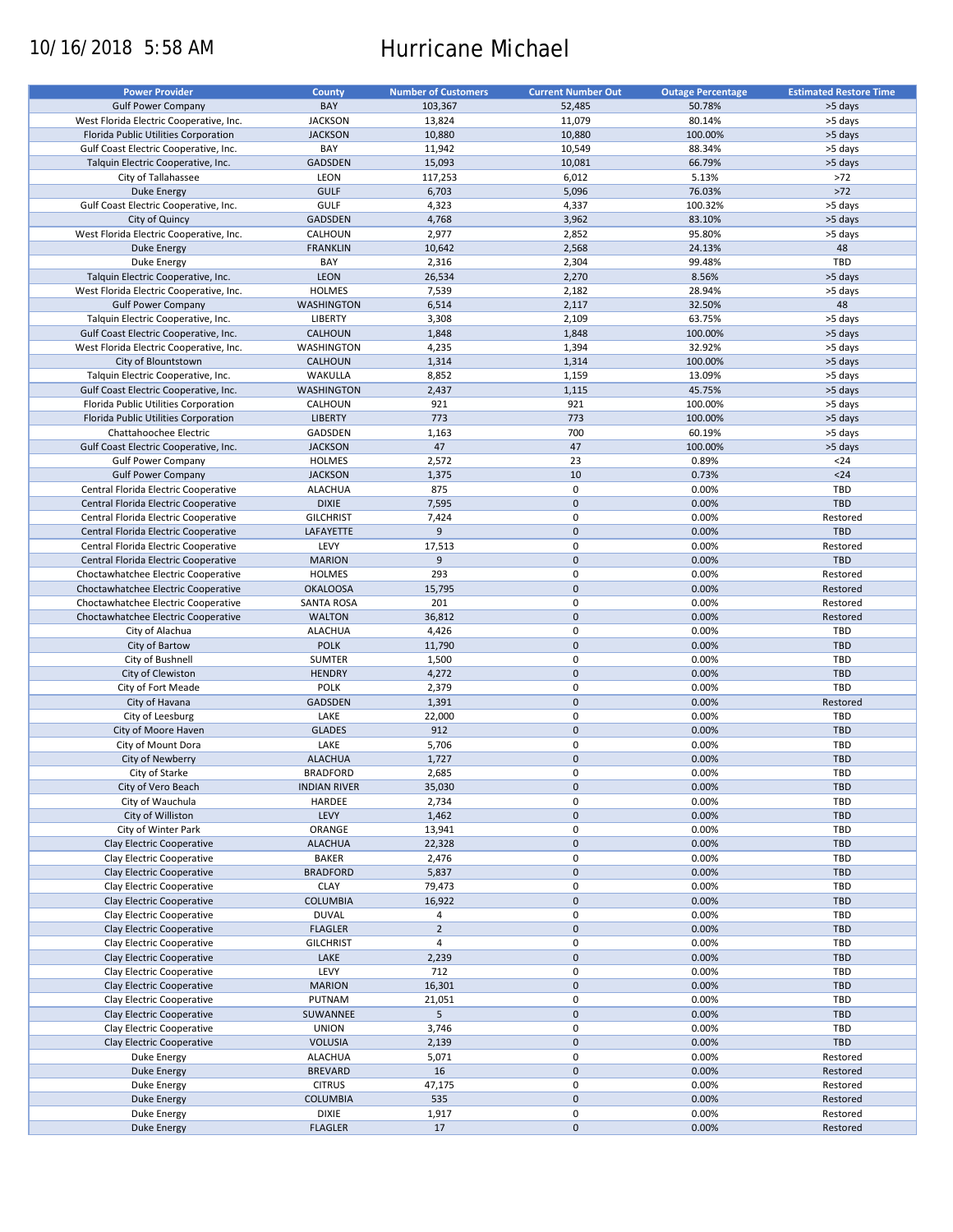# 10/16/2018 5:58 AM Hurricane Michael

| <b>Power Provider</b>                   | <b>County</b>       | <b>Number of Customers</b> | <b>Current Number Out</b> | <b>Outage Percentage</b> | <b>Estimated Restore Time</b> |
|-----------------------------------------|---------------------|----------------------------|---------------------------|--------------------------|-------------------------------|
|                                         |                     |                            |                           |                          |                               |
| <b>Gulf Power Company</b>               | BAY                 | 103,367                    | 52,485                    | 50.78%                   | >5 days                       |
| West Florida Electric Cooperative, Inc. | <b>JACKSON</b>      | 13,824                     | 11,079                    | 80.14%                   | >5 days                       |
| Florida Public Utilities Corporation    | <b>JACKSON</b>      | 10,880                     | 10,880                    | 100.00%                  | >5 days                       |
| Gulf Coast Electric Cooperative, Inc.   | BAY                 | 11,942                     | 10,549                    | 88.34%                   | >5 days                       |
| Talquin Electric Cooperative, Inc.      | GADSDEN             | 15,093                     | 10,081                    | 66.79%                   | >5 days                       |
| City of Tallahassee                     | LEON                | 117,253                    | 6,012                     | 5.13%                    | >72                           |
|                                         |                     |                            |                           |                          |                               |
| Duke Energy                             | <b>GULF</b>         | 6,703                      | 5,096                     | 76.03%                   | $>72$                         |
| Gulf Coast Electric Cooperative, Inc.   | GULF                | 4,323                      | 4,337                     | 100.32%                  | >5 days                       |
| City of Quincy                          | <b>GADSDEN</b>      | 4,768                      | 3,962                     | 83.10%                   | >5 days                       |
| West Florida Electric Cooperative, Inc. | CALHOUN             | 2,977                      | 2,852                     | 95.80%                   | >5 days                       |
| Duke Energy                             | <b>FRANKLIN</b>     | 10,642                     | 2,568                     | 24.13%                   | 48                            |
| Duke Energy                             | BAY                 | 2,316                      | 2,304                     | 99.48%                   | TBD                           |
| Talquin Electric Cooperative, Inc.      | LEON                | 26,534                     | 2,270                     | 8.56%                    | >5 days                       |
|                                         |                     |                            |                           |                          |                               |
| West Florida Electric Cooperative, Inc. | <b>HOLMES</b>       | 7,539                      | 2,182                     | 28.94%                   | >5 days                       |
| <b>Gulf Power Company</b>               | <b>WASHINGTON</b>   | 6,514                      | 2,117                     | 32.50%                   | 48                            |
| Talquin Electric Cooperative, Inc.      | <b>LIBERTY</b>      | 3,308                      | 2,109                     | 63.75%                   | >5 days                       |
| Gulf Coast Electric Cooperative, Inc.   | <b>CALHOUN</b>      | 1,848                      | 1,848                     | 100.00%                  | >5 days                       |
| West Florida Electric Cooperative, Inc. | WASHINGTON          | 4,235                      | 1,394                     | 32.92%                   | >5 days                       |
| City of Blountstown                     | <b>CALHOUN</b>      | 1,314                      | 1,314                     | 100.00%                  | >5 days                       |
|                                         |                     |                            |                           |                          |                               |
| Talquin Electric Cooperative, Inc.      | WAKULLA             | 8,852                      | 1,159                     | 13.09%                   | >5 days                       |
| Gulf Coast Electric Cooperative, Inc.   | <b>WASHINGTON</b>   | 2,437                      | 1,115                     | 45.75%                   | >5 days                       |
| Florida Public Utilities Corporation    | CALHOUN             | 921                        | 921                       | 100.00%                  | >5 days                       |
| Florida Public Utilities Corporation    | <b>LIBERTY</b>      | 773                        | 773                       | 100.00%                  | >5 days                       |
| Chattahoochee Electric                  | GADSDEN             | 1,163                      | 700                       | 60.19%                   | >5 days                       |
| Gulf Coast Electric Cooperative, Inc.   | <b>JACKSON</b>      | 47                         | 47                        | 100.00%                  | >5 days                       |
|                                         |                     |                            |                           |                          |                               |
| <b>Gulf Power Company</b>               | <b>HOLMES</b>       | 2,572                      | 23                        | 0.89%                    | $24$                          |
| <b>Gulf Power Company</b>               | <b>JACKSON</b>      | 1,375                      | 10                        | 0.73%                    | $24$                          |
| Central Florida Electric Cooperative    | <b>ALACHUA</b>      | 875                        | $\pmb{0}$                 | 0.00%                    | TBD                           |
| Central Florida Electric Cooperative    | <b>DIXIE</b>        | 7,595                      | $\mathbf 0$               | 0.00%                    | <b>TBD</b>                    |
| Central Florida Electric Cooperative    | <b>GILCHRIST</b>    | 7,424                      | $\pmb{0}$                 | 0.00%                    | Restored                      |
| Central Florida Electric Cooperative    | LAFAYETTE           | 9                          | $\mathbf 0$               | 0.00%                    | <b>TBD</b>                    |
|                                         |                     |                            |                           |                          |                               |
| Central Florida Electric Cooperative    | LEVY                | 17,513                     | 0                         | 0.00%                    | Restored                      |
| Central Florida Electric Cooperative    | <b>MARION</b>       | 9                          | $\mathbf 0$               | 0.00%                    | <b>TBD</b>                    |
| Choctawhatchee Electric Cooperative     | <b>HOLMES</b>       | 293                        | $\pmb{0}$                 | 0.00%                    | Restored                      |
| Choctawhatchee Electric Cooperative     | <b>OKALOOSA</b>     | 15,795                     | $\mathbf 0$               | 0.00%                    | Restored                      |
| Choctawhatchee Electric Cooperative     | <b>SANTA ROSA</b>   | 201                        | 0                         | 0.00%                    | Restored                      |
| Choctawhatchee Electric Cooperative     | <b>WALTON</b>       | 36,812                     | $\mathbf 0$               | 0.00%                    | Restored                      |
|                                         |                     |                            |                           |                          |                               |
| City of Alachua                         | <b>ALACHUA</b>      | 4,426                      | $\pmb{0}$                 | 0.00%                    | TBD                           |
| City of Bartow                          | <b>POLK</b>         | 11,790                     | $\mathbf 0$               | 0.00%                    | <b>TBD</b>                    |
| City of Bushnell                        | SUMTER              | 1,500                      | $\mathbf 0$               | 0.00%                    | TBD                           |
| City of Clewiston                       | <b>HENDRY</b>       | 4,272                      | $\pmb{0}$                 | 0.00%                    | TBD                           |
| City of Fort Meade                      | <b>POLK</b>         | 2,379                      | $\pmb{0}$                 | 0.00%                    | <b>TBD</b>                    |
| City of Havana                          | GADSDEN             | 1,391                      | $\mathbf 0$               | 0.00%                    | Restored                      |
| City of Leesburg                        | LAKE                | 22,000                     | 0                         | 0.00%                    | TBD                           |
|                                         | <b>GLADES</b>       |                            | $\mathbf 0$               |                          | <b>TBD</b>                    |
| City of Moore Haven                     |                     | 912                        |                           | 0.00%                    |                               |
| City of Mount Dora                      | LAKE                | 5,706                      | 0                         | 0.00%                    | <b>TBD</b>                    |
| City of Newberry                        | <b>ALACHUA</b>      | 1,727                      | $\pmb{0}$                 | 0.00%                    | <b>TBD</b>                    |
| City of Starke                          | <b>BRADFORD</b>     | 2,685                      | $\mathbf 0$               | 0.00%                    | TBD                           |
| City of Vero Beach                      | <b>INDIAN RIVER</b> | 35,030                     | $\pmb{0}$                 | 0.00%                    | TBD                           |
| City of Wauchula                        | HARDEE              | 2,734                      | 0                         | 0.00%                    | TBD                           |
| City of Williston                       | LEVY                | 1,462                      | $\pmb{0}$                 | 0.00%                    | <b>TBD</b>                    |
|                                         |                     |                            |                           |                          |                               |
| City of Winter Park                     | ORANGE              | 13,941                     | 0                         | 0.00%                    | TBD                           |
| <b>Clay Electric Cooperative</b>        | <b>ALACHUA</b>      | 22,328                     | $\mathsf{O}\xspace$       | 0.00%                    | TBD                           |
| Clay Electric Cooperative               | <b>BAKER</b>        | 2,476                      | $\pmb{0}$                 | 0.00%                    | TBD                           |
| Clay Electric Cooperative               | <b>BRADFORD</b>     | 5,837                      | $\mathsf{O}\xspace$       | 0.00%                    | TBD                           |
| Clay Electric Cooperative               | <b>CLAY</b>         | 79,473                     | 0                         | 0.00%                    | TBD                           |
| Clay Electric Cooperative               | <b>COLUMBIA</b>     | 16,922                     | $\mathsf{O}\xspace$       | 0.00%                    | <b>TBD</b>                    |
| Clay Electric Cooperative               | <b>DUVAL</b>        | 4                          | 0                         | 0.00%                    | TBD                           |
| Clay Electric Cooperative               |                     |                            |                           |                          |                               |
|                                         | <b>FLAGLER</b>      | $\mathbf 2$                | $\pmb{0}$                 | 0.00%                    | <b>TBD</b>                    |
| Clay Electric Cooperative               | <b>GILCHRIST</b>    | $\overline{4}$             | 0                         | 0.00%                    | TBD                           |
| Clay Electric Cooperative               | LAKE                | 2,239                      | $\pmb{0}$                 | 0.00%                    | <b>TBD</b>                    |
| Clay Electric Cooperative               | LEVY                | 712                        | $\pmb{0}$                 | 0.00%                    | TBD                           |
| Clay Electric Cooperative               | <b>MARION</b>       | 16,301                     | $\pmb{0}$                 | 0.00%                    | <b>TBD</b>                    |
| Clay Electric Cooperative               | PUTNAM              | 21,051                     | 0                         | 0.00%                    | TBD                           |
| Clay Electric Cooperative               | SUWANNEE            | 5                          | $\pmb{0}$                 | 0.00%                    | <b>TBD</b>                    |
|                                         |                     |                            |                           |                          |                               |
| Clay Electric Cooperative               | <b>UNION</b>        | 3,746                      | $\pmb{0}$                 | 0.00%                    | TBD                           |
| Clay Electric Cooperative               | <b>VOLUSIA</b>      | 2,139                      | $\pmb{0}$                 | 0.00%                    | TBD                           |
| Duke Energy                             | <b>ALACHUA</b>      | 5,071                      | 0                         | 0.00%                    | Restored                      |
| <b>Duke Energy</b>                      | <b>BREVARD</b>      | 16                         | $\pmb{0}$                 | 0.00%                    | Restored                      |
| Duke Energy                             | <b>CITRUS</b>       | 47,175                     | 0                         | 0.00%                    | Restored                      |
| <b>Duke Energy</b>                      | <b>COLUMBIA</b>     | 535                        | $\pmb{0}$                 | 0.00%                    | Restored                      |
|                                         | DIXIE               |                            | 0                         | 0.00%                    |                               |
| Duke Energy                             |                     | 1,917                      |                           |                          | Restored                      |
| Duke Energy                             | <b>FLAGLER</b>      | 17                         | $\pmb{0}$                 | 0.00%                    | Restored                      |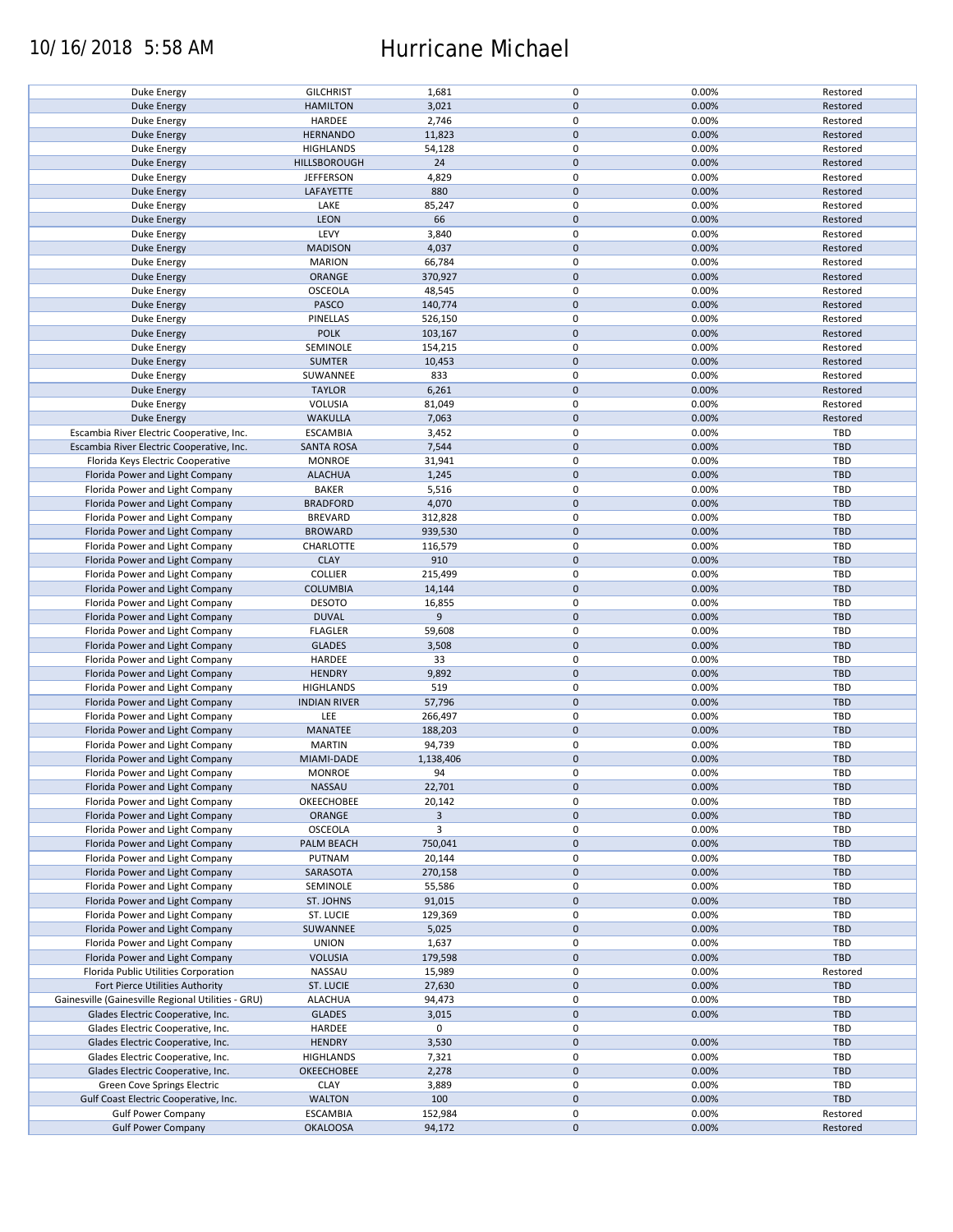# 10/16/2018 5:58 AM Hurricane Michael

| Duke Energy                                        | <b>GILCHRIST</b>    | 1,681          | $\pmb{0}$           | 0.00% | Restored   |
|----------------------------------------------------|---------------------|----------------|---------------------|-------|------------|
| <b>Duke Energy</b>                                 | <b>HAMILTON</b>     | 3,021          | $\mathbf 0$         | 0.00% | Restored   |
|                                                    |                     |                |                     |       |            |
| Duke Energy                                        | HARDEE              | 2,746          | 0                   | 0.00% | Restored   |
| <b>Duke Energy</b>                                 | <b>HERNANDO</b>     | 11,823         | $\mathbf 0$         | 0.00% | Restored   |
|                                                    |                     |                |                     |       |            |
| Duke Energy                                        | <b>HIGHLANDS</b>    | 54,128         | $\pmb{0}$           | 0.00% | Restored   |
| <b>Duke Energy</b>                                 | HILLSBOROUGH        | 24             | $\mathbf 0$         | 0.00% | Restored   |
| Duke Energy                                        | <b>JEFFERSON</b>    | 4,829          | $\pmb{0}$           | 0.00% | Restored   |
|                                                    |                     |                |                     |       |            |
| <b>Duke Energy</b>                                 | LAFAYETTE           | 880            | $\mathbf 0$         | 0.00% | Restored   |
| Duke Energy                                        | LAKE                | 85,247         | 0                   | 0.00% | Restored   |
|                                                    |                     |                |                     |       |            |
| <b>Duke Energy</b>                                 | LEON                | 66             | $\mathbf 0$         | 0.00% | Restored   |
| Duke Energy                                        | LEVY                | 3,840          | 0                   | 0.00% | Restored   |
| <b>Duke Energy</b>                                 | <b>MADISON</b>      | 4,037          | $\mathbf 0$         | 0.00% | Restored   |
|                                                    |                     |                |                     |       |            |
| Duke Energy                                        | <b>MARION</b>       | 66,784         | $\pmb{0}$           | 0.00% | Restored   |
| <b>Duke Energy</b>                                 | <b>ORANGE</b>       | 370,927        | $\mathbf 0$         | 0.00% | Restored   |
|                                                    |                     |                |                     |       |            |
| Duke Energy                                        | OSCEOLA             | 48,545         | $\pmb{0}$           | 0.00% | Restored   |
| <b>Duke Energy</b>                                 | PASCO               | 140,774        | $\pmb{0}$           | 0.00% | Restored   |
| Duke Energy                                        | PINELLAS            | 526,150        | $\pmb{0}$           | 0.00% | Restored   |
|                                                    |                     |                |                     |       |            |
| <b>Duke Energy</b>                                 | <b>POLK</b>         | 103,167        | $\pmb{0}$           | 0.00% | Restored   |
| Duke Energy                                        | SEMINOLE            | 154,215        | $\pmb{0}$           | 0.00% | Restored   |
|                                                    |                     |                |                     |       |            |
| <b>Duke Energy</b>                                 | <b>SUMTER</b>       | 10,453         | $\pmb{0}$           | 0.00% | Restored   |
| Duke Energy                                        | SUWANNEE            | 833            | 0                   | 0.00% | Restored   |
|                                                    |                     |                | $\pmb{0}$           | 0.00% |            |
| Duke Energy                                        | <b>TAYLOR</b>       | 6,261          |                     |       | Restored   |
| Duke Energy                                        | VOLUSIA             | 81,049         | 0                   | 0.00% | Restored   |
| <b>Duke Energy</b>                                 | <b>WAKULLA</b>      | 7,063          | $\pmb{0}$           | 0.00% | Restored   |
|                                                    |                     |                |                     |       |            |
| Escambia River Electric Cooperative, Inc.          | <b>ESCAMBIA</b>     | 3,452          | $\pmb{0}$           | 0.00% | <b>TBD</b> |
| Escambia River Electric Cooperative, Inc.          | <b>SANTA ROSA</b>   | 7,544          | $\pmb{0}$           | 0.00% | <b>TBD</b> |
|                                                    |                     |                |                     |       |            |
| Florida Keys Electric Cooperative                  | <b>MONROE</b>       | 31,941         | 0                   | 0.00% | TBD        |
| Florida Power and Light Company                    | <b>ALACHUA</b>      | 1,245          | $\pmb{0}$           | 0.00% | <b>TBD</b> |
| Florida Power and Light Company                    | <b>BAKER</b>        | 5,516          | 0                   | 0.00% | TBD        |
|                                                    |                     |                |                     |       |            |
| Florida Power and Light Company                    | <b>BRADFORD</b>     | 4,070          | $\mathbf 0$         | 0.00% | <b>TBD</b> |
| Florida Power and Light Company                    | <b>BREVARD</b>      | 312,828        | 0                   | 0.00% | <b>TBD</b> |
|                                                    |                     |                |                     |       |            |
| Florida Power and Light Company                    | <b>BROWARD</b>      | 939,530        | $\mathsf{O}\xspace$ | 0.00% | <b>TBD</b> |
| Florida Power and Light Company                    | CHARLOTTE           | 116,579        | 0                   | 0.00% | TBD        |
|                                                    | <b>CLAY</b>         | 910            | $\pmb{0}$           | 0.00% | <b>TBD</b> |
| Florida Power and Light Company                    |                     |                |                     |       |            |
| Florida Power and Light Company                    | <b>COLLIER</b>      | 215,499        | 0                   | 0.00% | TBD        |
| Florida Power and Light Company                    | <b>COLUMBIA</b>     | 14,144         | $\pmb{0}$           | 0.00% | <b>TBD</b> |
|                                                    |                     |                |                     |       |            |
| Florida Power and Light Company                    | <b>DESOTO</b>       | 16,855         | 0                   | 0.00% | <b>TBD</b> |
| Florida Power and Light Company                    | <b>DUVAL</b>        | $\overline{9}$ | $\mathbf 0$         | 0.00% | <b>TBD</b> |
|                                                    |                     |                |                     |       |            |
| Florida Power and Light Company                    | <b>FLAGLER</b>      | 59,608         | $\pmb{0}$           | 0.00% | <b>TBD</b> |
| Florida Power and Light Company                    | <b>GLADES</b>       | 3,508          | $\pmb{0}$           | 0.00% | <b>TBD</b> |
| Florida Power and Light Company                    | HARDEE              | 33             | $\pmb{0}$           | 0.00% | TBD        |
|                                                    |                     |                |                     |       |            |
| Florida Power and Light Company                    | <b>HENDRY</b>       | 9,892          | $\pmb{0}$           | 0.00% | <b>TBD</b> |
| Florida Power and Light Company                    | <b>HIGHLANDS</b>    | 519            | $\pmb{0}$           | 0.00% | <b>TBD</b> |
|                                                    |                     |                |                     |       |            |
| Florida Power and Light Company                    | <b>INDIAN RIVER</b> | 57,796         | $\mathbf 0$         | 0.00% | <b>TBD</b> |
| Florida Power and Light Company                    | LEE                 | 266,497        | 0                   | 0.00% | <b>TBD</b> |
|                                                    |                     |                | $\mathbf 0$         |       | <b>TBD</b> |
| Florida Power and Light Company                    | <b>MANATEE</b>      | 188,203        |                     | 0.00% |            |
| Florida Power and Light Company                    | <b>MARTIN</b>       | 94,739         | 0                   | 0.00% | <b>TBD</b> |
| Florida Power and Light Company                    | MIAMI-DADE          | 1,138,406      | $\mathbf 0$         | 0.00% | <b>TBD</b> |
|                                                    |                     |                |                     |       |            |
| Florida Power and Light Company                    | <b>MONROE</b>       | 94             | $\mathbf 0$         | 0.00% | TBD        |
| Florida Power and Light Company                    | NASSAU              | 22,701         | $\mathbf 0$         | 0.00% | <b>TBD</b> |
|                                                    |                     |                |                     |       |            |
| Florida Power and Light Company                    | OKEECHOBEE          | 20,142         | 0                   | 0.00% | <b>TBD</b> |
| Florida Power and Light Company                    | ORANGE              | $\overline{3}$ | $\mathbf 0$         | 0.00% | <b>TBD</b> |
| Florida Power and Light Company                    | <b>OSCEOLA</b>      | 3              | 0                   | 0.00% | <b>TBD</b> |
|                                                    |                     |                |                     |       |            |
| Florida Power and Light Company                    | PALM BEACH          | 750,041        | $\mathbf 0$         | 0.00% | <b>TBD</b> |
| Florida Power and Light Company                    | PUTNAM              | 20,144         | $\pmb{0}$           | 0.00% | <b>TBD</b> |
| Florida Power and Light Company                    | SARASOTA            | 270,158        | $\mathbf 0$         | 0.00% | <b>TBD</b> |
|                                                    |                     |                |                     |       |            |
| Florida Power and Light Company                    | SEMINOLE            | 55,586         | 0                   | 0.00% | <b>TBD</b> |
| Florida Power and Light Company                    | ST. JOHNS           | 91,015         | $\mathsf{O}\xspace$ | 0.00% | <b>TBD</b> |
|                                                    |                     |                |                     |       |            |
| Florida Power and Light Company                    | ST. LUCIE           | 129,369        | 0                   | 0.00% | TBD        |
| Florida Power and Light Company                    | SUWANNEE            | 5,025          | $\mathbf 0$         | 0.00% | <b>TBD</b> |
| Florida Power and Light Company                    | <b>UNION</b>        | 1,637          | $\pmb{0}$           | 0.00% | <b>TBD</b> |
|                                                    |                     |                |                     |       |            |
| Florida Power and Light Company                    | <b>VOLUSIA</b>      | 179,598        | $\mathbf 0$         | 0.00% | <b>TBD</b> |
| Florida Public Utilities Corporation               | NASSAU              | 15,989         | 0                   | 0.00% | Restored   |
|                                                    |                     |                | $\pmb{0}$           |       |            |
| Fort Pierce Utilities Authority                    | ST. LUCIE           | 27,630         |                     | 0.00% | <b>TBD</b> |
| Gainesville (Gainesville Regional Utilities - GRU) | <b>ALACHUA</b>      | 94,473         | $\pmb{0}$           | 0.00% | TBD        |
| Glades Electric Cooperative, Inc.                  | <b>GLADES</b>       | 3,015          | $\mathbf 0$         | 0.00% | <b>TBD</b> |
|                                                    |                     |                |                     |       |            |
| Glades Electric Cooperative, Inc.                  | HARDEE              | 0              | $\pmb{0}$           |       | <b>TBD</b> |
| Glades Electric Cooperative, Inc.                  | <b>HENDRY</b>       | 3,530          | $\pmb{0}$           | 0.00% | <b>TBD</b> |
|                                                    |                     |                |                     |       |            |
| Glades Electric Cooperative, Inc.                  | <b>HIGHLANDS</b>    | 7,321          | $\pmb{0}$           | 0.00% | <b>TBD</b> |
| Glades Electric Cooperative, Inc.                  | OKEECHOBEE          | 2,278          | $\pmb{0}$           | 0.00% | <b>TBD</b> |
| Green Cove Springs Electric                        | <b>CLAY</b>         | 3,889          | $\pmb{0}$           | 0.00% | <b>TBD</b> |
|                                                    |                     |                |                     |       |            |
| Gulf Coast Electric Cooperative, Inc.              | <b>WALTON</b>       | 100            | $\mathsf{O}\xspace$ | 0.00% | TBD        |
| <b>Gulf Power Company</b>                          | <b>ESCAMBIA</b>     | 152,984        | 0                   | 0.00% | Restored   |
| <b>Gulf Power Company</b>                          | <b>OKALOOSA</b>     | 94,172         | $\mathsf{O}\xspace$ | 0.00% | Restored   |
|                                                    |                     |                |                     |       |            |